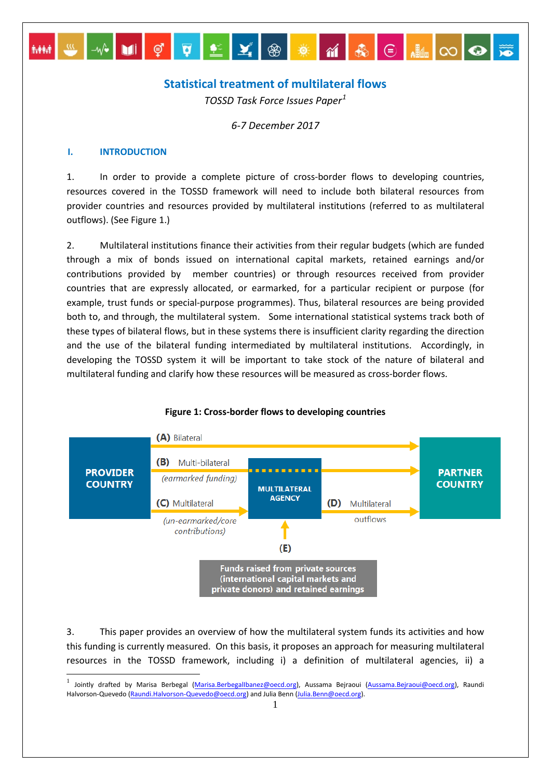# **Statistical treatment of multilateral flows**

 $\boxed{\mathbf{v}}$ 

❀<mark>☀</mark>⋒฿|⊜|<sub>-</sub> ∞ ⊙

*TOSSD Task Force Issues Paper[1](#page-0-0)*

*6-7 December 2017*

### **I. INTRODUCTION**

 $-W^*$  ii  $\phi$ 

1. In order to provide a complete picture of cross-border flows to developing countries, resources covered in the TOSSD framework will need to include both bilateral resources from provider countries and resources provided by multilateral institutions (referred to as multilateral outflows). (See Figure 1.)

2. Multilateral institutions finance their activities from their regular budgets (which are funded through a mix of bonds issued on international capital markets, retained earnings and/or contributions provided by member countries) or through resources received from provider countries that are expressly allocated, or earmarked, for a particular recipient or purpose (for example, trust funds or special-purpose programmes). Thus, bilateral resources are being provided both to, and through, the multilateral system. Some international statistical systems track both of these types of bilateral flows, but in these systems there is insufficient clarity regarding the direction and the use of the bilateral funding intermediated by multilateral institutions. Accordingly, in developing the TOSSD system it will be important to take stock of the nature of bilateral and multilateral funding and clarify how these resources will be measured as cross-border flows.



### **Figure 1: Cross-border flows to developing countries**

3. This paper provides an overview of how the multilateral system funds its activities and how this funding is currently measured. On this basis, it proposes an approach for measuring multilateral resources in the TOSSD framework, including i) a definition of multilateral agencies, ii) a

<span id="page-0-0"></span>Jointly drafted by Marisa Berbegal [\(Marisa.BerbegalIbanez@oecd.org\),](mailto:Marisa.BerbegalIbanez@oecd.org) Aussama Bejraoui [\(Aussama.Bejraoui@oecd.org\),](mailto:Aussama.Bejraoui@oecd.org) Raundi Halvorson-Quevedo [\(Raundi.Halvorson-Quevedo@oecd.org\)](mailto:Raundi.Halvorson-Quevedo@oecd.org) and Julia Benn [\(Julia.Benn@oecd.org\).](mailto:Julia.Benn@oecd.org)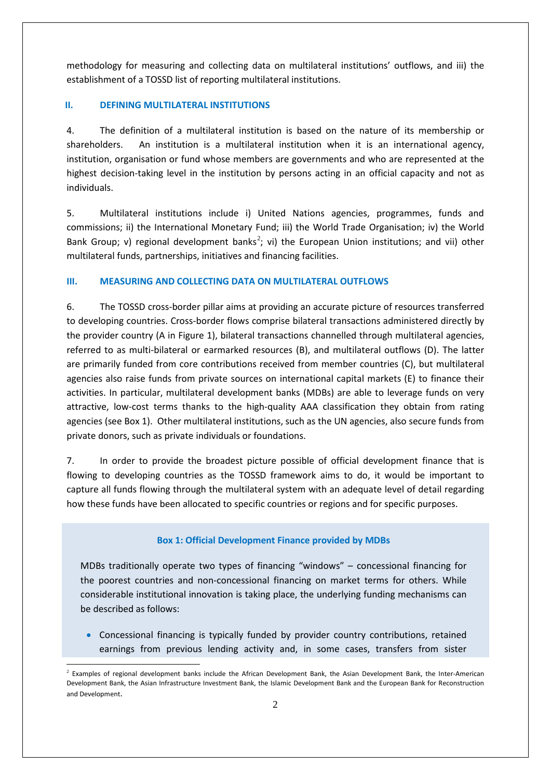methodology for measuring and collecting data on multilateral institutions' outflows, and iii) the establishment of a TOSSD list of reporting multilateral institutions.

## **II. DEFINING MULTILATERAL INSTITUTIONS**

4. The definition of a multilateral institution is based on the nature of its membership or shareholders. An institution is a multilateral institution when it is an international agency, institution, organisation or fund whose members are governments and who are represented at the highest decision-taking level in the institution by persons acting in an official capacity and not as individuals.

5. Multilateral institutions include i) United Nations agencies, programmes, funds and commissions; ii) the International Monetary Fund; iii) the World Trade Organisation; iv) the World Bank Group; v) regional development banks<sup>[2](#page-1-0)</sup>; vi) the European Union institutions; and vii) other multilateral funds, partnerships, initiatives and financing facilities.

## **III. MEASURING AND COLLECTING DATA ON MULTILATERAL OUTFLOWS**

6. The TOSSD cross-border pillar aims at providing an accurate picture of resources transferred to developing countries. Cross-border flows comprise bilateral transactions administered directly by the provider country (A in Figure 1), bilateral transactions channelled through multilateral agencies, referred to as multi-bilateral or earmarked resources (B), and multilateral outflows (D). The latter are primarily funded from core contributions received from member countries (C), but multilateral agencies also raise funds from private sources on international capital markets (E) to finance their activities. In particular, multilateral development banks (MDBs) are able to leverage funds on very attractive, low-cost terms thanks to the high-quality AAA classification they obtain from rating agencies (see Box 1). Other multilateral institutions, such as the UN agencies, also secure funds from private donors, such as private individuals or foundations.

7. In order to provide the broadest picture possible of official development finance that is flowing to developing countries as the TOSSD framework aims to do, it would be important to capture all funds flowing through the multilateral system with an adequate level of detail regarding how these funds have been allocated to specific countries or regions and for specific purposes.

### **Box 1: Official Development Finance provided by MDBs**

MDBs traditionally operate two types of financing "windows" – concessional financing for the poorest countries and non-concessional financing on market terms for others. While considerable institutional innovation is taking place, the underlying funding mechanisms can be described as follows:

• Concessional financing is typically funded by provider country contributions, retained earnings from previous lending activity and, in some cases, transfers from sister

<span id="page-1-0"></span> <sup>2</sup> Examples of regional development banks include the African Development Bank, the Asian Development Bank, the Inter-American Development Bank, the Asian Infrastructure Investment Bank, the Islamic Development Bank and the European Bank for Reconstruction and Development.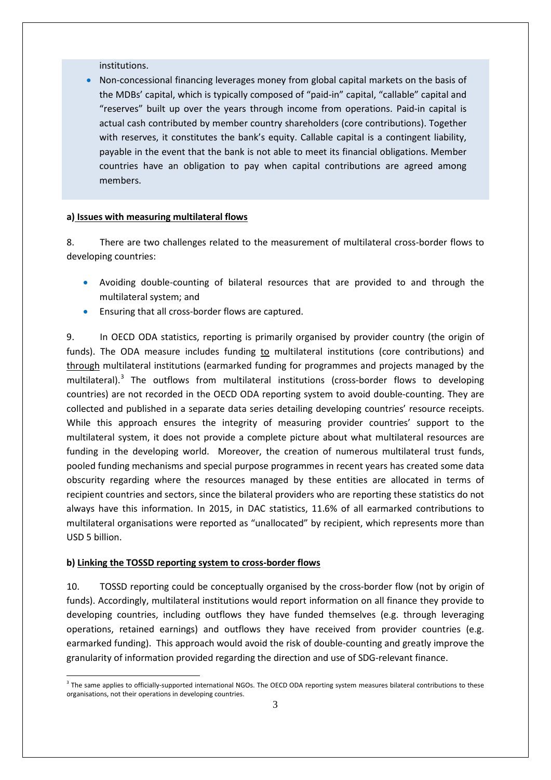institutions.

• Non-concessional financing leverages money from global capital markets on the basis of the MDBs' capital, which is typically composed of "paid-in" capital, "callable" capital and "reserves" built up over the years through income from operations. Paid-in capital is actual cash contributed by member country shareholders (core contributions). Together with reserves, it constitutes the bank's equity. Callable capital is a contingent liability, payable in the event that the bank is not able to meet its financial obligations. Member countries have an obligation to pay when capital contributions are agreed among members.

### **a) Issues with measuring multilateral flows**

8. There are two challenges related to the measurement of multilateral cross-border flows to developing countries:

- Avoiding double-counting of bilateral resources that are provided to and through the multilateral system; and
- Ensuring that all cross-border flows are captured.

9. In OECD ODA statistics, reporting is primarily organised by provider country (the origin of funds). The ODA measure includes funding to multilateral institutions (core contributions) and through multilateral institutions (earmarked funding for programmes and projects managed by the multilateral).<sup>[3](#page-2-0)</sup> The outflows from multilateral institutions (cross-border flows to developing countries) are not recorded in the OECD ODA reporting system to avoid double-counting. They are collected and published in a separate data series detailing developing countries' resource receipts. While this approach ensures the integrity of measuring provider countries' support to the multilateral system, it does not provide a complete picture about what multilateral resources are funding in the developing world. Moreover, the creation of numerous multilateral trust funds, pooled funding mechanisms and special purpose programmes in recent years has created some data obscurity regarding where the resources managed by these entities are allocated in terms of recipient countries and sectors, since the bilateral providers who are reporting these statistics do not always have this information. In 2015, in DAC statistics, 11.6% of all earmarked contributions to multilateral organisations were reported as "unallocated" by recipient, which represents more than USD 5 billion.

### **b) Linking the TOSSD reporting system to cross-border flows**

10. TOSSD reporting could be conceptually organised by the cross-border flow (not by origin of funds). Accordingly, multilateral institutions would report information on all finance they provide to developing countries, including outflows they have funded themselves (e.g. through leveraging operations, retained earnings) and outflows they have received from provider countries (e.g. earmarked funding). This approach would avoid the risk of double-counting and greatly improve the granularity of information provided regarding the direction and use of SDG-relevant finance.

<span id="page-2-0"></span><sup>&</sup>lt;sup>3</sup> The same applies to officially-supported international NGOs. The OECD ODA reporting system measures bilateral contributions to these organisations, not their operations in developing countries.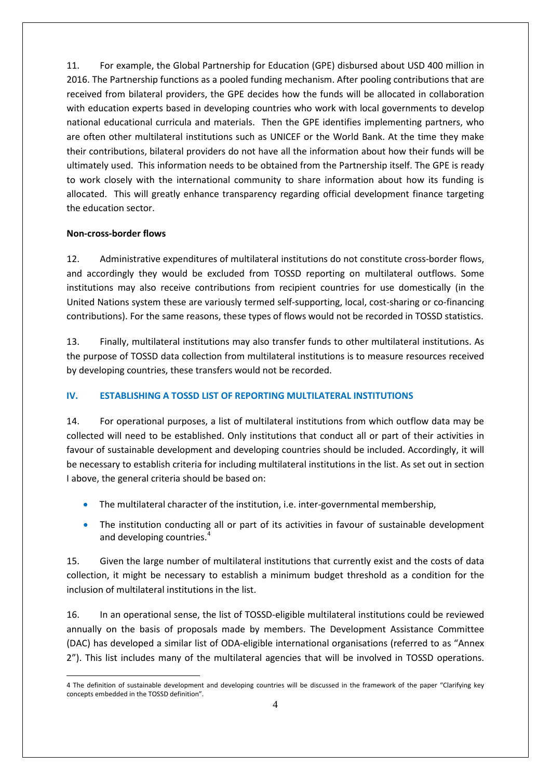11. For example, the Global Partnership for Education (GPE) disbursed about USD 400 million in 2016. The Partnership functions as a pooled funding mechanism. After pooling contributions that are received from bilateral providers, the GPE decides how the funds will be allocated in collaboration with education experts based in developing countries who work with local governments to develop national educational curricula and materials. Then the GPE identifies implementing partners, who are often other multilateral institutions such as UNICEF or the World Bank. At the time they make their contributions, bilateral providers do not have all the information about how their funds will be ultimately used. This information needs to be obtained from the Partnership itself. The GPE is ready to work closely with the international community to share information about how its funding is allocated. This will greatly enhance transparency regarding official development finance targeting the education sector.

## **Non-cross-border flows**

12. Administrative expenditures of multilateral institutions do not constitute cross-border flows, and accordingly they would be excluded from TOSSD reporting on multilateral outflows. Some institutions may also receive contributions from recipient countries for use domestically (in the United Nations system these are variously termed self-supporting, local, cost-sharing or co-financing contributions). For the same reasons, these types of flows would not be recorded in TOSSD statistics.

13. Finally, multilateral institutions may also transfer funds to other multilateral institutions. As the purpose of TOSSD data collection from multilateral institutions is to measure resources received by developing countries, these transfers would not be recorded.

# **IV. ESTABLISHING A TOSSD LIST OF REPORTING MULTILATERAL INSTITUTIONS**

14. For operational purposes, a list of multilateral institutions from which outflow data may be collected will need to be established. Only institutions that conduct all or part of their activities in favour of sustainable development and developing countries should be included. Accordingly, it will be necessary to establish criteria for including multilateral institutions in the list. As set out in section I above, the general criteria should be based on:

- The multilateral character of the institution, i.e. inter-governmental membership,
- The institution conducting all or part of its activities in favour of sustainable development and developing countries.<sup>[4](#page-3-0)</sup>

15. Given the large number of multilateral institutions that currently exist and the costs of data collection, it might be necessary to establish a minimum budget threshold as a condition for the inclusion of multilateral institutions in the list.

16. In an operational sense, the list of TOSSD-eligible multilateral institutions could be reviewed annually on the basis of proposals made by members. The Development Assistance Committee (DAC) has developed a similar list of ODA-eligible international organisations (referred to as "Annex 2"). This list includes many of the multilateral agencies that will be involved in TOSSD operations.

<span id="page-3-0"></span><sup>-</sup>4 The definition of sustainable development and developing countries will be discussed in the framework of the paper "Clarifying key concepts embedded in the TOSSD definition".